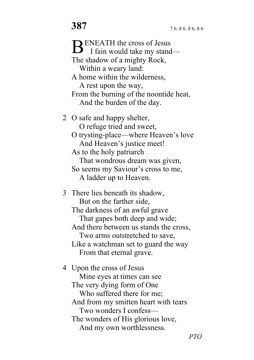**ENEATH** the cross of Jesus BENEATH the cross of Jesus<br>I fain would take my stand— The shadow of a mighty Rock, Within a weary land: A home within the wilderness, A rest upon the way, From the burning of the noontide heat, And the burden of the day. 2 O safe and happy shelter, O refuge tried and sweet, O trysting-place—where Heaven's love And Heaven's justice meet! As to the holy patriarch That wondrous dream was given, So seems my Saviour's cross to me, A ladder up to Heaven. 3 There lies beneath its shadow, But on the farther side, The darkness of an awful grave That gapes both deep and wide; And there between us stands the cross, Two arms outstretched to save, Like a watchman set to guard the way From that eternal grave.

4 Upon the cross of Jesus Mine eyes at times can see The very dying form of One Who suffered there for me; And from my smitten heart with tears Two wonders I confess— The wonders of His glorious love, And my own worthlessness.